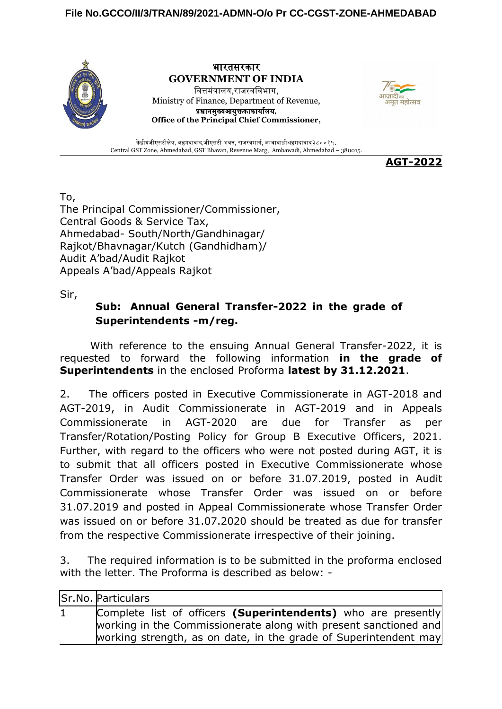## **File No.GCCO/II/3/TRAN/89/2021-ADMN-O/o Pr CC-CGST-ZONE-AHMEDABAD**



भारतसरकार **GOVERNMENT OF INDIA** वित्तमंत्रालय,राजस्वविभाग, Ministry of Finance, Department of Revenue, प्रधानमुख्यआयुक्तकाकार्यालय, **Office of the Principal Chief Commissioner,**



केंद्रीयजीएसटीक्षेत्र, अहमदाबाद,जीएसटी भवन, राजस्वमार्ग, अम्बावाड़ीअहमदाबाद३८००१५. Central GST Zone, Ahmedabad, GST Bhavan, Revenue Marg, Ambawadi, Ahmedabad – 380015.

**AGT-2022**

To,

The Principal Commissioner/Commissioner, Central Goods & Service Tax, Ahmedabad- South/North/Gandhinagar/ Rajkot/Bhavnagar/Kutch (Gandhidham)/ Audit A'bad/Audit Rajkot Appeals A'bad/Appeals Rajkot

Sir,

## **Sub: Annual General Transfer-2022 in the grade of Superintendents -m/reg.**

With reference to the ensuing Annual General Transfer-2022, it is requested to forward the following information **in the grade of Superintendents** in the enclosed Proforma **latest by 31.12.2021**.

2. The officers posted in Executive Commissionerate in AGT-2018 and AGT-2019, in Audit Commissionerate in AGT-2019 and in Appeals Commissionerate in AGT-2020 are due for Transfer as per Transfer/Rotation/Posting Policy for Group B Executive Officers, 2021. Further, with regard to the officers who were not posted during AGT, it is to submit that all officers posted in Executive Commissionerate whose Transfer Order was issued on or before 31.07.2019, posted in Audit Commissionerate whose Transfer Order was issued on or before 31.07.2019 and posted in Appeal Commissionerate whose Transfer Order was issued on or before 31.07.2020 should be treated as due for transfer from the respective Commissionerate irrespective of their joining.

3. The required information is to be submitted in the proforma enclosed with the letter. The Proforma is described as below: -

|              | Sr.No. Particulars                                                                                                                                                                                    |
|--------------|-------------------------------------------------------------------------------------------------------------------------------------------------------------------------------------------------------|
| $\mathbf{1}$ | Complete list of officers (Superintendents) who are presently<br>working in the Commissionerate along with present sanctioned and<br>working strength, as on date, in the grade of Superintendent may |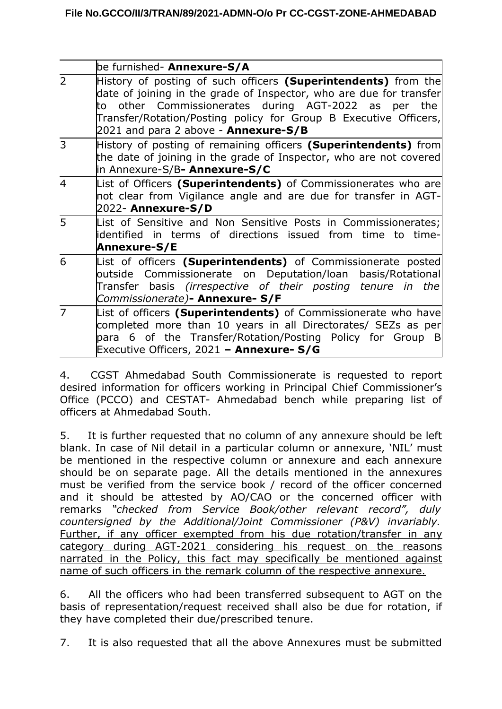|                | be furnished- Annexure-S/A                                                                                                                                                                                                                                                                                       |
|----------------|------------------------------------------------------------------------------------------------------------------------------------------------------------------------------------------------------------------------------------------------------------------------------------------------------------------|
| $\overline{2}$ | History of posting of such officers (Superintendents) from the<br>date of joining in the grade of Inspector, who are due for transfer<br>to other Commissionerates during AGT-2022 as per the<br>Transfer/Rotation/Posting policy for Group B Executive Officers,<br>2021 and para 2 above - <b>Annexure-S/B</b> |
| 3              | History of posting of remaining officers (Superintendents) from<br>the date of joining in the grade of Inspector, who are not covered<br>in Annexure-S/B <b>- Annexure-S/C</b>                                                                                                                                   |
| $\overline{4}$ | List of Officers (Superintendents) of Commissionerates who are<br>not clear from Vigilance angle and are due for transfer in AGT-<br>2022- Annexure-S/D                                                                                                                                                          |
| 5              | List of Sensitive and Non Sensitive Posts in Commissionerates;<br>lidentified in terms of directions issued from time to time-<br>Annexure-S/E                                                                                                                                                                   |
| 6              | List of officers (Superintendents) of Commissionerate posted<br>outside Commissionerate on Deputation/loan basis/Rotational<br>Transfer basis (irrespective of their posting tenure in the<br>Commissionerate) <b>- Annexure- S/F</b>                                                                            |
| $\overline{7}$ | List of officers (Superintendents) of Commissionerate who have<br>completed more than 10 years in all Directorates/ SEZs as per<br>para 6 of the Transfer/Rotation/Posting Policy for Group B<br>Executive Officers, 2021 - Annexure- S/G                                                                        |

4. CGST Ahmedabad South Commissionerate is requested to report desired information for officers working in Principal Chief Commissioner's Office (PCCO) and CESTAT- Ahmedabad bench while preparing list of officers at Ahmedabad South.

5. It is further requested that no column of any annexure should be left blank. In case of Nil detail in a particular column or annexure, 'NIL' must be mentioned in the respective column or annexure and each annexure should be on separate page. All the details mentioned in the annexures must be verified from the service book / record of the officer concerned and it should be attested by AO/CAO or the concerned officer with remarks *"checked from Service Book/other relevant record", duly countersigned by the Additional/Joint Commissioner (P&V) invariably.* Further, if any officer exempted from his due rotation/transfer in any category during AGT-2021 considering his request on the reasons narrated in the Policy, this fact may specifically be mentioned against name of such officers in the remark column of the respective annexure.

6. All the officers who had been transferred subsequent to AGT on the basis of representation/request received shall also be due for rotation, if they have completed their due/prescribed tenure.

7. It is also requested that all the above Annexures must be submitted